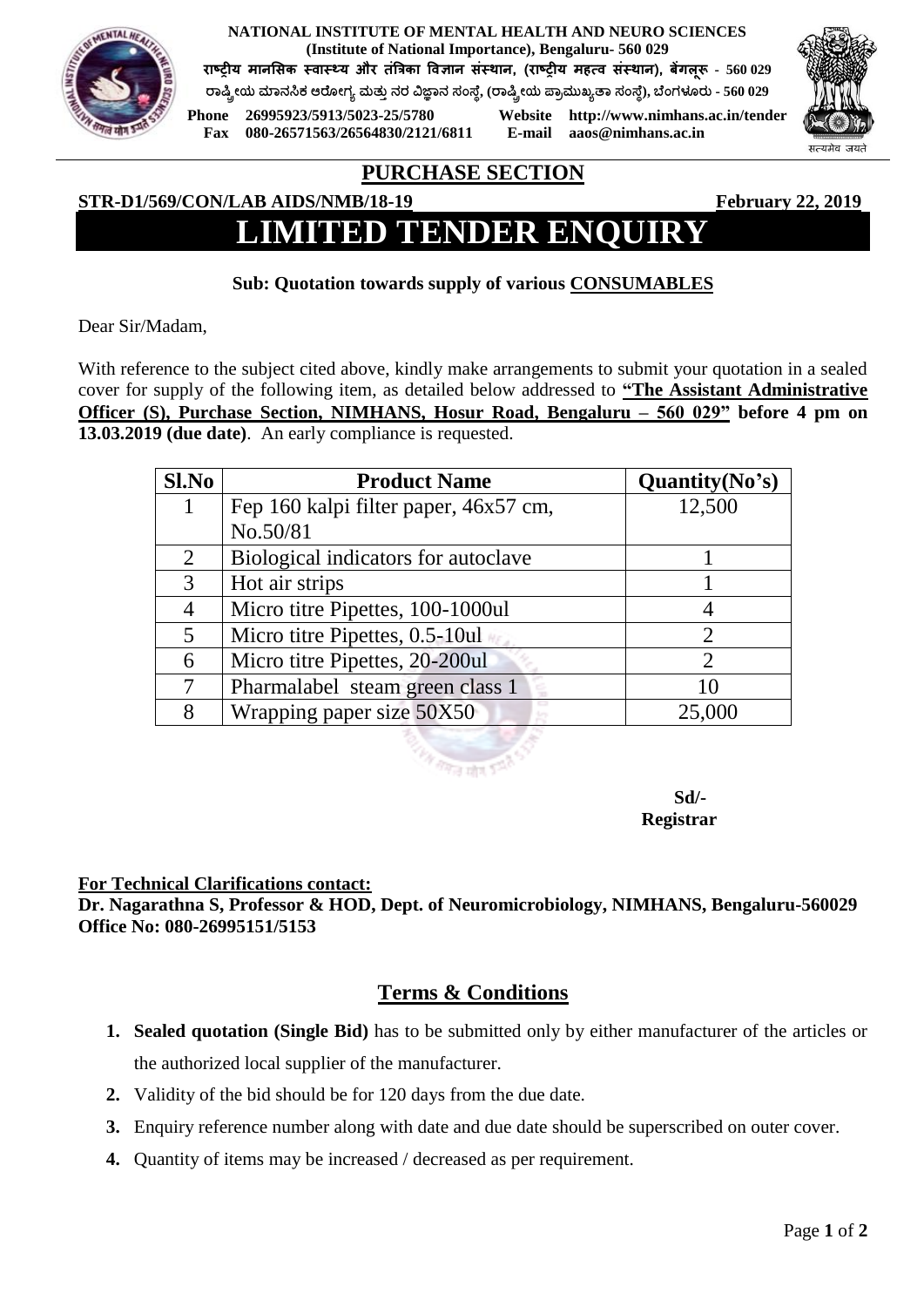**NATIONAL INSTITUTE OF MENTAL HEALTH AND NEURO SCIENCES (Institute of National Importance), Bengaluru- 560 029**

**राष्ट्रीय मानसिक स्वास््य और तंत्रिका ववज्ञान िंस्थान, (राष्ट्रीय महत्व िंस्थान), बेंगलूरू - 560 029**

**ರಾಷ್ಟ್ರೀಯ ಮಾನಸಿಕ ಆರ ೀಗ್ಯ ಮತ್ತುನರ ವಿಜ್ಞಾನ ಸಂಸ್ ೆ, (ರಾಷ್ಟ್ರೀಯ ಪ್ಾಾಮತಖ್ಯತಾ ಸಂಸ್ ೆ), ಬ ಂಗ್ಳೂರತ - 560 029**

**Fax 080-26571563/26564830/2121/6811 E-mail aaos@nimhans.ac.in**

**Phone 26995923/5913/5023-25/5780 Website http://www.nimhans.ac.in/tender**



# **PURCHASE SECTION**

### **STR-D1/569/CON/LAB AIDS/NMB/18-19 February 22, 2019**

# **LIMITED TENDER ENQUIRY**

### **Sub: Quotation towards supply of various CONSUMABLES**

Dear Sir/Madam,

With reference to the subject cited above, kindly make arrangements to submit your quotation in a sealed cover for supply of the following item, as detailed below addressed to **"The Assistant Administrative Officer (S), Purchase Section, NIMHANS, Hosur Road, Bengaluru – 560 029" before 4 pm on 13.03.2019 (due date)**. An early compliance is requested.

| Sl.No | <b>Product Name</b>                   | Quantity(No's) |
|-------|---------------------------------------|----------------|
|       | Fep 160 kalpi filter paper, 46x57 cm, | 12,500         |
|       | No.50/81                              |                |
| 2     | Biological indicators for autoclave   |                |
| 3     | Hot air strips                        |                |
|       | Micro titre Pipettes, 100-1000ul      |                |
| 5     | Micro titre Pipettes, 0.5-10ul        | 2              |
| 6     | Micro titre Pipettes, 20-200ul        |                |
|       | Pharmalabel steam green class 1       | 10             |
| 8     | Wrapping paper size 50X50             | 25,000         |

**Registrar**

 **Sd/-**

#### **For Technical Clarifications contact:**

**Dr. Nagarathna S, Professor & HOD, Dept. of Neuromicrobiology, NIMHANS, Bengaluru-560029 Office No: 080-26995151/5153**

## **Terms & Conditions**

- **1. Sealed quotation (Single Bid)** has to be submitted only by either manufacturer of the articles or the authorized local supplier of the manufacturer.
- **2.** Validity of the bid should be for 120 days from the due date.
- **3.** Enquiry reference number along with date and due date should be superscribed on outer cover.
- **4.** Quantity of items may be increased / decreased as per requirement.